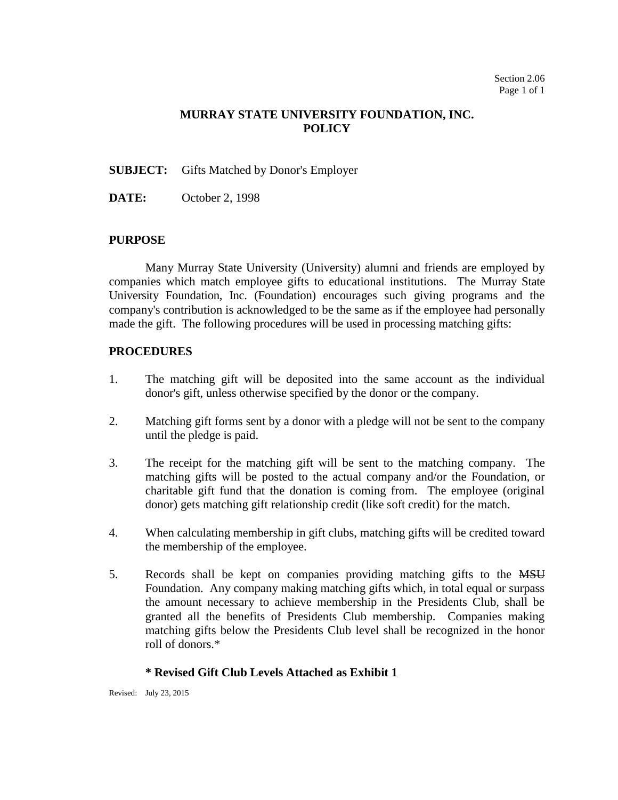## **MURRAY STATE UNIVERSITY FOUNDATION, INC. POLICY**

#### **SUBJECT:** Gifts Matched by Donor's Employer

**DATE:** October 2, 1998

#### **PURPOSE**

Many Murray State University (University) alumni and friends are employed by companies which match employee gifts to educational institutions. The Murray State University Foundation, Inc. (Foundation) encourages such giving programs and the company's contribution is acknowledged to be the same as if the employee had personally made the gift. The following procedures will be used in processing matching gifts:

#### **PROCEDURES**

- 1. The matching gift will be deposited into the same account as the individual donor's gift, unless otherwise specified by the donor or the company.
- 2. Matching gift forms sent by a donor with a pledge will not be sent to the company until the pledge is paid.
- 3. The receipt for the matching gift will be sent to the matching company. The matching gifts will be posted to the actual company and/or the Foundation, or charitable gift fund that the donation is coming from. The employee (original donor) gets matching gift relationship credit (like soft credit) for the match.
- 4. When calculating membership in gift clubs, matching gifts will be credited toward the membership of the employee.
- 5. Records shall be kept on companies providing matching gifts to the MSU Foundation. Any company making matching gifts which, in total equal or surpass the amount necessary to achieve membership in the Presidents Club, shall be granted all the benefits of Presidents Club membership. Companies making matching gifts below the Presidents Club level shall be recognized in the honor roll of donors.\*

### **\* Revised Gift Club Levels Attached as Exhibit 1**

Revised: July 23, 2015